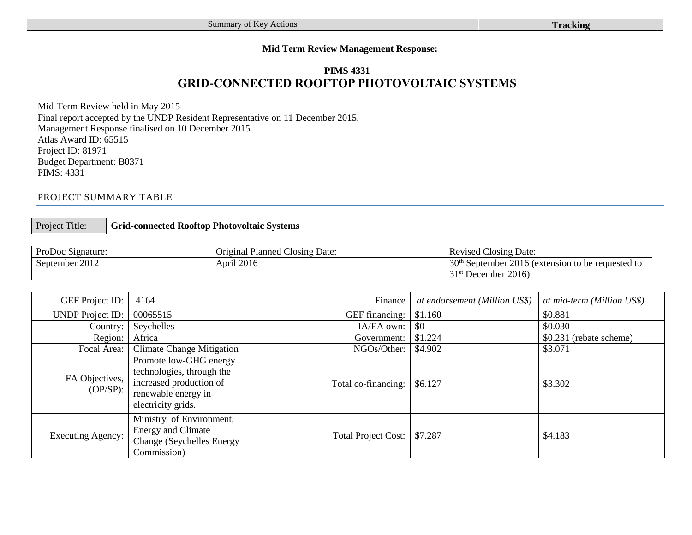## **Mid Term Review Management Response:**

# **PIMS 4331 GRID-CONNECTED ROOFTOP PHOTOVOLTAIC SYSTEMS**

Mid-Term Review held in May 2015 Final report accepted by the UNDP Resident Representative on 11 December 2015. Management Response finalised on 10 December 2015. Atlas Award ID: 65515 Project ID: 81971 Budget Department: B0371 PIMS: 4331

## PROJECT SUMMARY TABLE

Project Title: **Grid-connected Rooftop Photovoltaic Systems**

| <b>ProDoc Signature:</b> | <b>Original Planned Closing Date:</b> | <b>Revised Closing Date:</b>                                     |
|--------------------------|---------------------------------------|------------------------------------------------------------------|
| September 2012           | April 2016                            | 30 <sup>th</sup><br>September 2016 (extension to be requested to |
|                          |                                       | December 2016)<br>31 <sup>st</sup>                               |

| <b>GEF</b> Project ID:      | 4164                                                                                                                        | Finance                    | at endorsement (Million US\$) | at mid-term (Million US\$) |
|-----------------------------|-----------------------------------------------------------------------------------------------------------------------------|----------------------------|-------------------------------|----------------------------|
| <b>UNDP</b> Project ID:     | 00065515                                                                                                                    | GEF financing:             | \$1.160                       | \$0.881                    |
| Country:                    | Seychelles                                                                                                                  | IA/EA own:                 | \$0                           | \$0.030                    |
| Region:                     | Africa                                                                                                                      | Government:                | \$1.224                       | \$0.231 (rebate scheme)    |
| Focal Area:                 | <b>Climate Change Mitigation</b>                                                                                            | NGOs/Other:                | \$4.902                       | \$3.071                    |
| FA Objectives,<br>$OP/SP$ : | Promote low-GHG energy<br>technologies, through the<br>increased production of<br>renewable energy in<br>electricity grids. | Total co-financing:        | \$6.127                       | \$3.302                    |
| <b>Executing Agency:</b>    | Ministry of Environment,<br><b>Energy and Climate</b><br><b>Change (Seychelles Energy)</b><br>Commission)                   | <b>Total Project Cost:</b> | \$7.287                       | \$4.183                    |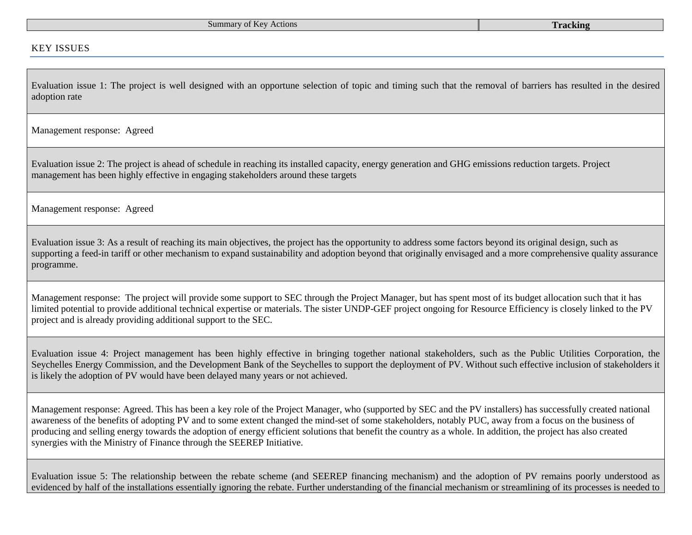#### KEY ISSUES

Evaluation issue 1: The project is well designed with an opportune selection of topic and timing such that the removal of barriers has resulted in the desired adoption rate

Management response: Agreed

Evaluation issue 2: The project is ahead of schedule in reaching its installed capacity, energy generation and GHG emissions reduction targets. Project management has been highly effective in engaging stakeholders around these targets

Management response: Agreed

Evaluation issue 3: As a result of reaching its main objectives, the project has the opportunity to address some factors beyond its original design, such as supporting a feed-in tariff or other mechanism to expand sustainability and adoption beyond that originally envisaged and a more comprehensive quality assurance programme.

Management response: The project will provide some support to SEC through the Project Manager, but has spent most of its budget allocation such that it has limited potential to provide additional technical expertise or materials. The sister UNDP-GEF project ongoing for Resource Efficiency is closely linked to the PV project and is already providing additional support to the SEC.

Evaluation issue 4: Project management has been highly effective in bringing together national stakeholders, such as the Public Utilities Corporation, the Seychelles Energy Commission, and the Development Bank of the Seychelles to support the deployment of PV. Without such effective inclusion of stakeholders it is likely the adoption of PV would have been delayed many years or not achieved.

Management response: Agreed. This has been a key role of the Project Manager, who (supported by SEC and the PV installers) has successfully created national awareness of the benefits of adopting PV and to some extent changed the mind-set of some stakeholders, notably PUC, away from a focus on the business of producing and selling energy towards the adoption of energy efficient solutions that benefit the country as a whole. In addition, the project has also created synergies with the Ministry of Finance through the SEEREP Initiative.

Evaluation issue 5: The relationship between the rebate scheme (and SEEREP financing mechanism) and the adoption of PV remains poorly understood as evidenced by half of the installations essentially ignoring the rebate. Further understanding of the financial mechanism or streamlining of its processes is needed to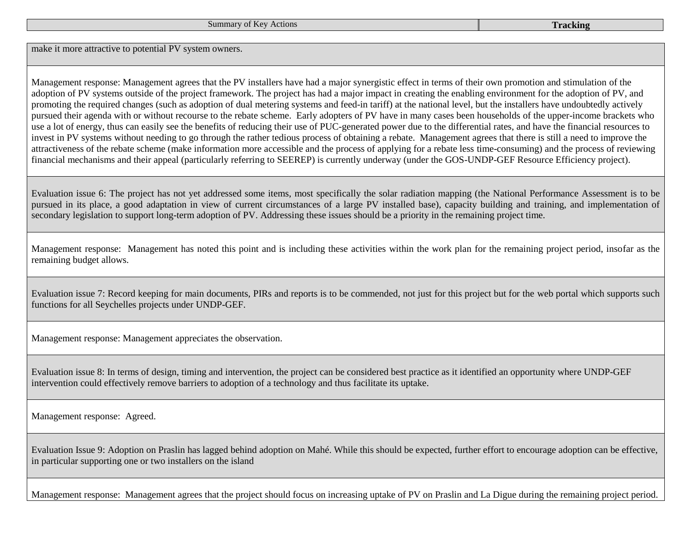make it more attractive to potential PV system owners.

Management response: Management agrees that the PV installers have had a major synergistic effect in terms of their own promotion and stimulation of the adoption of PV systems outside of the project framework. The project has had a major impact in creating the enabling environment for the adoption of PV, and promoting the required changes (such as adoption of dual metering systems and feed-in tariff) at the national level, but the installers have undoubtedly actively pursued their agenda with or without recourse to the rebate scheme. Early adopters of PV have in many cases been households of the upper-income brackets who use a lot of energy, thus can easily see the benefits of reducing their use of PUC-generated power due to the differential rates, and have the financial resources to invest in PV systems without needing to go through the rather tedious process of obtaining a rebate. Management agrees that there is still a need to improve the attractiveness of the rebate scheme (make information more accessible and the process of applying for a rebate less time-consuming) and the process of reviewing financial mechanisms and their appeal (particularly referring to SEEREP) is currently underway (under the GOS-UNDP-GEF Resource Efficiency project).

Evaluation issue 6: The project has not yet addressed some items, most specifically the solar radiation mapping (the National Performance Assessment is to be pursued in its place, a good adaptation in view of current circumstances of a large PV installed base), capacity building and training, and implementation of secondary legislation to support long-term adoption of PV. Addressing these issues should be a priority in the remaining project time.

Management response: Management has noted this point and is including these activities within the work plan for the remaining project period, insofar as the remaining budget allows.

Evaluation issue 7: Record keeping for main documents, PIRs and reports is to be commended, not just for this project but for the web portal which supports such functions for all Seychelles projects under UNDP-GEF.

Management response: Management appreciates the observation.

Evaluation issue 8: In terms of design, timing and intervention, the project can be considered best practice as it identified an opportunity where UNDP-GEF intervention could effectively remove barriers to adoption of a technology and thus facilitate its uptake.

Management response: Agreed.

Evaluation Issue 9: Adoption on Praslin has lagged behind adoption on Mahé. While this should be expected, further effort to encourage adoption can be effective, in particular supporting one or two installers on the island

Management response: Management agrees that the project should focus on increasing uptake of PV on Praslin and La Digue during the remaining project period.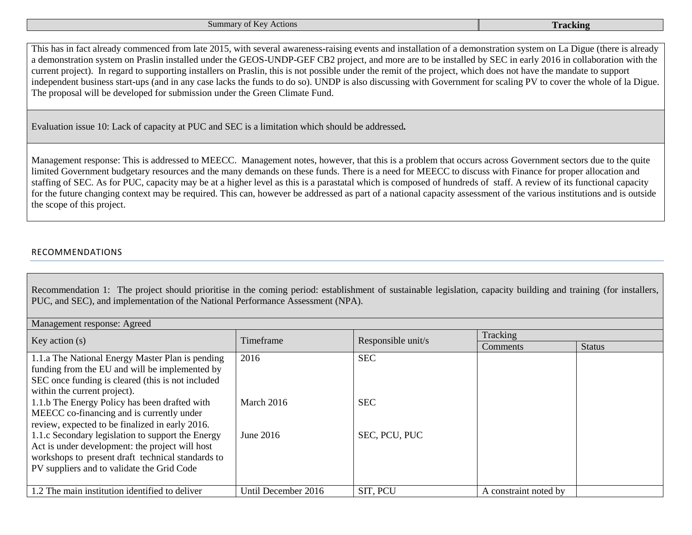| Summary of Key Actions | <b>Tracking</b> |
|------------------------|-----------------|
|------------------------|-----------------|

This has in fact already commenced from late 2015, with several awareness-raising events and installation of a demonstration system on La Digue (there is already a demonstration system on Praslin installed under the GEOS-UNDP-GEF CB2 project, and more are to be installed by SEC in early 2016 in collaboration with the current project). In regard to supporting installers on Praslin, this is not possible under the remit of the project, which does not have the mandate to support independent business start-ups (and in any case lacks the funds to do so). UNDP is also discussing with Government for scaling PV to cover the whole of la Digue. The proposal will be developed for submission under the Green Climate Fund.

Evaluation issue 10: Lack of capacity at PUC and SEC is a limitation which should be addressed*.*

Management response: This is addressed to MEECC. Management notes, however, that this is a problem that occurs across Government sectors due to the quite limited Government budgetary resources and the many demands on these funds. There is a need for MEECC to discuss with Finance for proper allocation and staffing of SEC. As for PUC, capacity may be at a higher level as this is a parastatal which is composed of hundreds of staff. A review of its functional capacity for the future changing context may be required. This can, however be addressed as part of a national capacity assessment of the various institutions and is outside the scope of this project.

## RECOMMENDATIONS

Recommendation 1: The project should prioritise in the coming period: establishment of sustainable legislation, capacity building and training (for installers, PUC, and SEC), and implementation of the National Performance Assessment (NPA).

| Management response: Agreed                        |                     |                    |                       |               |  |
|----------------------------------------------------|---------------------|--------------------|-----------------------|---------------|--|
| Key action $(s)$                                   | Timeframe           | Responsible unit/s | Tracking              |               |  |
|                                                    |                     |                    | <b>Comments</b>       | <b>Status</b> |  |
| 1.1.a The National Energy Master Plan is pending   | 2016                | <b>SEC</b>         |                       |               |  |
| funding from the EU and will be implemented by     |                     |                    |                       |               |  |
| SEC once funding is cleared (this is not included) |                     |                    |                       |               |  |
| within the current project).                       |                     |                    |                       |               |  |
| 1.1.b The Energy Policy has been drafted with      | March 2016          | <b>SEC</b>         |                       |               |  |
| MEECC co-financing and is currently under          |                     |                    |                       |               |  |
| review, expected to be finalized in early 2016.    |                     |                    |                       |               |  |
| 1.1.c Secondary legislation to support the Energy  | June 2016           | SEC, PCU, PUC      |                       |               |  |
| Act is under development: the project will host    |                     |                    |                       |               |  |
| workshops to present draft technical standards to  |                     |                    |                       |               |  |
| PV suppliers and to validate the Grid Code         |                     |                    |                       |               |  |
|                                                    |                     |                    |                       |               |  |
| 1.2 The main institution identified to deliver     | Until December 2016 | SIT, PCU           | A constraint noted by |               |  |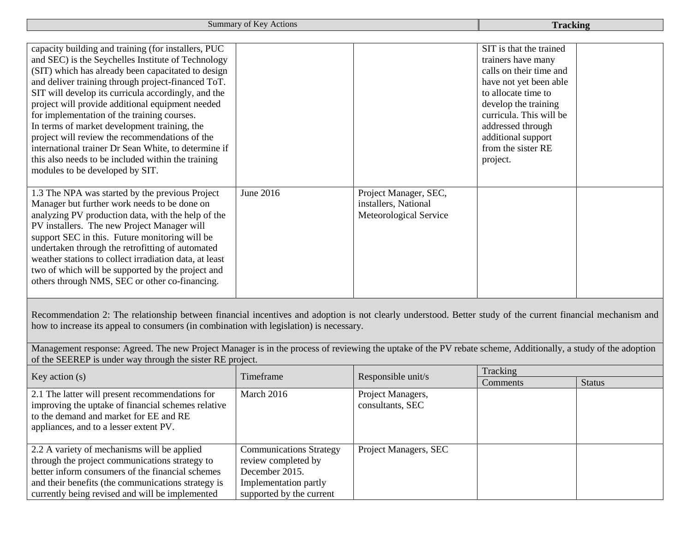**Summary of Key Actions Tracking** 

| capacity building and training (for installers, PUC<br>and SEC) is the Seychelles Institute of Technology<br>(SIT) which has already been capacitated to design<br>and deliver training through project-financed ToT.<br>SIT will develop its curricula accordingly, and the<br>project will provide additional equipment needed<br>for implementation of the training courses.<br>In terms of market development training, the<br>project will review the recommendations of the<br>international trainer Dr Sean White, to determine if<br>this also needs to be included within the training<br>modules to be developed by SIT. |           |                                                                         | SIT is that the trained<br>trainers have many<br>calls on their time and<br>have not yet been able<br>to allocate time to<br>develop the training<br>curricula. This will be<br>addressed through<br>additional support<br>from the sister RE<br>project. |  |
|------------------------------------------------------------------------------------------------------------------------------------------------------------------------------------------------------------------------------------------------------------------------------------------------------------------------------------------------------------------------------------------------------------------------------------------------------------------------------------------------------------------------------------------------------------------------------------------------------------------------------------|-----------|-------------------------------------------------------------------------|-----------------------------------------------------------------------------------------------------------------------------------------------------------------------------------------------------------------------------------------------------------|--|
| 1.3 The NPA was started by the previous Project<br>Manager but further work needs to be done on<br>analyzing PV production data, with the help of the<br>PV installers. The new Project Manager will<br>support SEC in this. Future monitoring will be<br>undertaken through the retrofitting of automated<br>weather stations to collect irradiation data, at least<br>two of which will be supported by the project and<br>others through NMS, SEC or other co-financing.                                                                                                                                                        | June 2016 | Project Manager, SEC,<br>installers, National<br>Meteorological Service |                                                                                                                                                                                                                                                           |  |

Recommendation 2: The relationship between financial incentives and adoption is not clearly understood. Better study of the current financial mechanism and how to increase its appeal to consumers (in combination with legislation) is necessary.

Management response: Agreed. The new Project Manager is in the process of reviewing the uptake of the PV rebate scheme, Additionally, a study of the adoption of the SEEREP is under way through the sister RE project.

| Key action $(s)$                                   | Responsible unit/s<br>Timeframe | Tracking              |          |               |
|----------------------------------------------------|---------------------------------|-----------------------|----------|---------------|
|                                                    |                                 |                       | Comments | <b>Status</b> |
| 2.1 The latter will present recommendations for    | March 2016                      | Project Managers,     |          |               |
| improving the uptake of financial schemes relative |                                 | consultants, SEC      |          |               |
| to the demand and market for EE and RE             |                                 |                       |          |               |
| appliances, and to a lesser extent PV.             |                                 |                       |          |               |
|                                                    |                                 |                       |          |               |
| 2.2 A variety of mechanisms will be applied        | <b>Communications Strategy</b>  | Project Managers, SEC |          |               |
| through the project communications strategy to     | review completed by             |                       |          |               |
| better inform consumers of the financial schemes   | December 2015.                  |                       |          |               |
| and their benefits (the communications strategy is | Implementation partly           |                       |          |               |
| currently being revised and will be implemented    | supported by the current        |                       |          |               |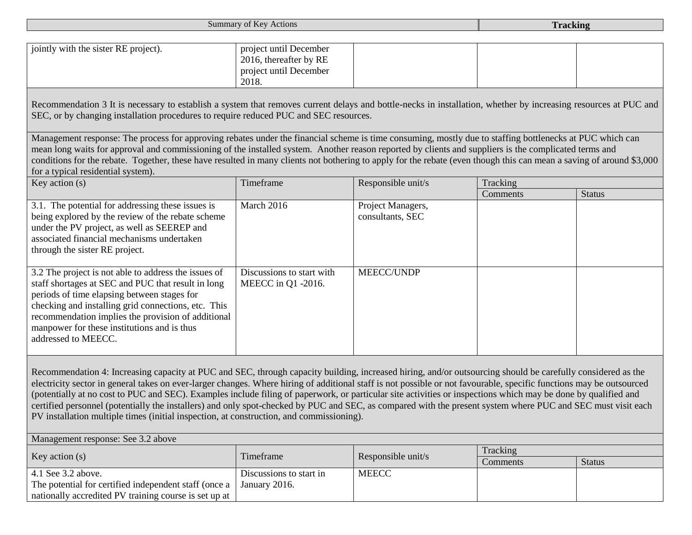|                                                                                                                                                                                                                                                                                                                                                                                                                                                                                                                                 | <b>Summary of Key Actions</b>                                                       |                                       | <b>Tracking</b> |               |
|---------------------------------------------------------------------------------------------------------------------------------------------------------------------------------------------------------------------------------------------------------------------------------------------------------------------------------------------------------------------------------------------------------------------------------------------------------------------------------------------------------------------------------|-------------------------------------------------------------------------------------|---------------------------------------|-----------------|---------------|
|                                                                                                                                                                                                                                                                                                                                                                                                                                                                                                                                 |                                                                                     |                                       |                 |               |
| jointly with the sister RE project).                                                                                                                                                                                                                                                                                                                                                                                                                                                                                            | project until December<br>2016, thereafter by RE<br>project until December<br>2018. |                                       |                 |               |
| Recommendation 3 It is necessary to establish a system that removes current delays and bottle-necks in installation, whether by increasing resources at PUC and<br>SEC, or by changing installation procedures to require reduced PUC and SEC resources.                                                                                                                                                                                                                                                                        |                                                                                     |                                       |                 |               |
| Management response: The process for approving rebates under the financial scheme is time consuming, mostly due to staffing bottlenecks at PUC which can<br>mean long waits for approval and commissioning of the installed system. Another reason reported by clients and suppliers is the complicated terms and<br>conditions for the rebate. Together, these have resulted in many clients not bothering to apply for the rebate (even though this can mean a saving of around \$3,000<br>for a typical residential system). |                                                                                     |                                       |                 |               |
| Key action $(s)$                                                                                                                                                                                                                                                                                                                                                                                                                                                                                                                | Timeframe                                                                           | Responsible unit/s                    | Tracking        |               |
|                                                                                                                                                                                                                                                                                                                                                                                                                                                                                                                                 |                                                                                     |                                       | Comments        | <b>Status</b> |
| 3.1. The potential for addressing these issues is<br>being explored by the review of the rebate scheme<br>under the PV project, as well as SEEREP and<br>associated financial mechanisms undertaken<br>through the sister RE project.                                                                                                                                                                                                                                                                                           | March 2016                                                                          | Project Managers,<br>consultants, SEC |                 |               |
| 3.2 The project is not able to address the issues of<br>staff shortages at SEC and PUC that result in long<br>periods of time elapsing between stages for<br>checking and installing grid connections, etc. This<br>recommendation implies the provision of additional<br>manpower for these institutions and is thus<br>addressed to MEECC.                                                                                                                                                                                    | Discussions to start with<br>MEECC in Q1 -2016.                                     | MEECC/UNDP                            |                 |               |
| Recommendation 4: Increasing capacity at PUC and SEC, through capacity building, increased hiring, and/or outsourcing should be carefully considered as the                                                                                                                                                                                                                                                                                                                                                                     |                                                                                     |                                       |                 |               |

electricity sector in general takes on ever-larger changes. Where hiring of additional staff is not possible or not favourable, specific functions may be outsourced (potentially at no cost to PUC and SEC). Examples include filing of paperwork, or particular site activities or inspections which may be done by qualified and certified personnel (potentially the installers) and only spot-checked by PUC and SEC, as compared with the present system where PUC and SEC must visit each PV installation multiple times (initial inspection, at construction, and commissioning).

| Management response: See 3.2 above                    |                         |                    |          |               |
|-------------------------------------------------------|-------------------------|--------------------|----------|---------------|
| Key action $(s)$                                      | Timeframe               | Responsible unit/s | Tracking |               |
|                                                       |                         |                    | Comments | <b>Status</b> |
| 4.1 See 3.2 above.                                    | Discussions to start in | <b>MEECC</b>       |          |               |
| The potential for certified independent staff (once a | January 2016.           |                    |          |               |
| nationally accredited PV training course is set up at |                         |                    |          |               |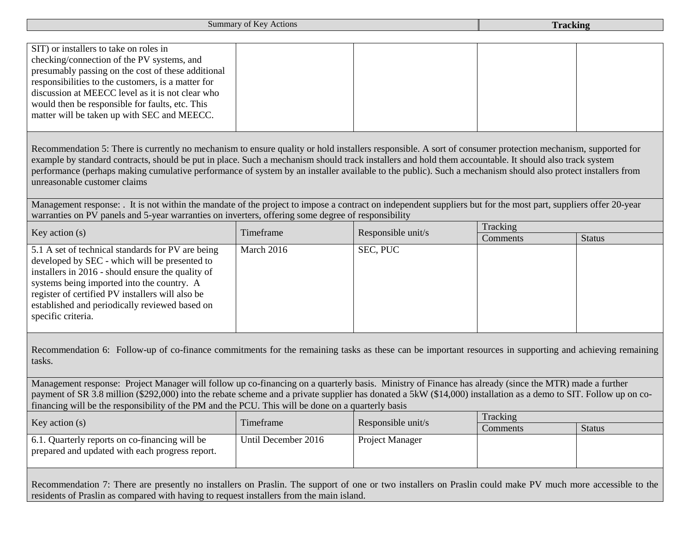Summary of Key Actions **Tracking**

| SIT) or installers to take on roles in             |  |  |
|----------------------------------------------------|--|--|
| checking/connection of the PV systems, and         |  |  |
| presumably passing on the cost of these additional |  |  |
| responsibilities to the customers, is a matter for |  |  |
| discussion at MEECC level as it is not clear who   |  |  |
| would then be responsible for faults, etc. This    |  |  |
| matter will be taken up with SEC and MEECC.        |  |  |
|                                                    |  |  |

Recommendation 5: There is currently no mechanism to ensure quality or hold installers responsible. A sort of consumer protection mechanism, supported for example by standard contracts, should be put in place. Such a mechanism should track installers and hold them accountable. It should also track system performance (perhaps making cumulative performance of system by an installer available to the public). Such a mechanism should also protect installers from unreasonable customer claims

Management response: It is not within the mandate of the project to impose a contract on independent suppliers but for the most part, suppliers offer 20-year warranties on PV panels and 5-year warranties on inverters, offering some degree of responsibility

| Key action(s)<br>Timeframe                                                                                                                                                                                                                                                                                                        |            | Responsible unit/s | Tracking |               |
|-----------------------------------------------------------------------------------------------------------------------------------------------------------------------------------------------------------------------------------------------------------------------------------------------------------------------------------|------------|--------------------|----------|---------------|
|                                                                                                                                                                                                                                                                                                                                   |            |                    | Comments | <b>Status</b> |
| 5.1 A set of technical standards for PV are being<br>developed by SEC - which will be presented to<br>installers in 2016 - should ensure the quality of<br>systems being imported into the country. A<br>register of certified PV installers will also be<br>established and periodically reviewed based on<br>specific criteria. | March 2016 | SEC, PUC           |          |               |

Recommendation 6: Follow-up of co-finance commitments for the remaining tasks as these can be important resources in supporting and achieving remaining tasks.

Management response: Project Manager will follow up co-financing on a quarterly basis. Ministry of Finance has already (since the MTR) made a further payment of SR 3.8 million (\$292,000) into the rebate scheme and a private supplier has donated a 5kW (\$14,000) installation as a demo to SIT. Follow up on cofinancing will be the responsibility of the PM and the PCU. This will be done on a quarterly basis

| Key action(s)                                                                                     | Timeframe           | Responsible unit/s     | Tracking |               |
|---------------------------------------------------------------------------------------------------|---------------------|------------------------|----------|---------------|
|                                                                                                   |                     |                        | Comments | <b>Status</b> |
| 6.1. Quarterly reports on co-financing will be<br>prepared and updated with each progress report. | Until December 2016 | <b>Project Manager</b> |          |               |

Recommendation 7: There are presently no installers on Praslin. The support of one or two installers on Praslin could make PV much more accessible to the residents of Praslin as compared with having to request installers from the main island.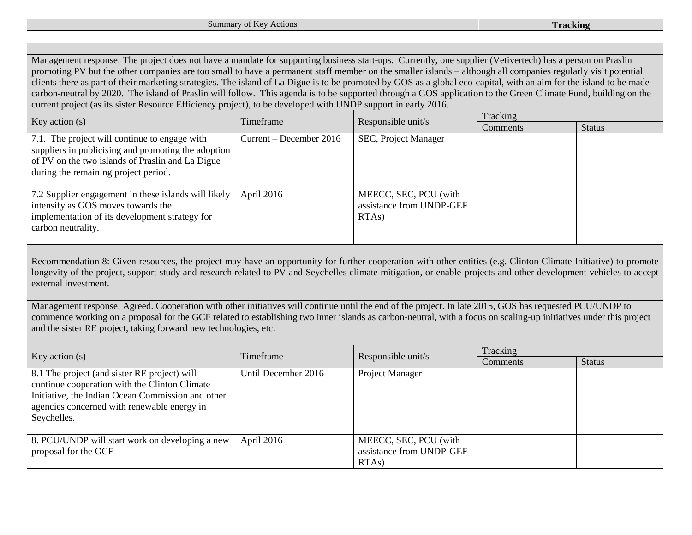Management response: The project does not have a mandate for supporting business start-ups. Currently, one supplier (Vetivertech) has a person on Praslin promoting PV but the other companies are too small to have a permanent staff member on the smaller islands – although all companies regularly visit potential clients there as part of their marketing strategies. The island of La Digue is to be promoted by GOS as a global eco-capital, with an aim for the island to be made carbon-neutral by 2020. The island of Praslin will follow. This agenda is to be supported through a GOS application to the Green Climate Fund, building on the current project (as its sister Resource Efficiency project), to be developed with UNDP support in early 2016.

| Key action(s)                                                                                                                                                                                    | Timeframe               | Responsible unit/s                                                      |          | Tracking      |  |
|--------------------------------------------------------------------------------------------------------------------------------------------------------------------------------------------------|-------------------------|-------------------------------------------------------------------------|----------|---------------|--|
|                                                                                                                                                                                                  |                         |                                                                         | Comments | <b>Status</b> |  |
| 7.1. The project will continue to engage with<br>suppliers in publicising and promoting the adoption<br>of PV on the two islands of Praslin and La Digue<br>during the remaining project period. | Current – December 2016 | SEC, Project Manager                                                    |          |               |  |
| 7.2 Supplier engagement in these islands will likely<br>intensify as GOS moves towards the<br>implementation of its development strategy for<br>carbon neutrality.                               | April 2016              | MEECC, SEC, PCU (with<br>assistance from UNDP-GEF<br>RTA <sub>s</sub> ) |          |               |  |

Recommendation 8: Given resources, the project may have an opportunity for further cooperation with other entities (e.g. Clinton Climate Initiative) to promote longevity of the project, support study and research related to PV and Seychelles climate mitigation, or enable projects and other development vehicles to accept external investment.

Management response: Agreed. Cooperation with other initiatives will continue until the end of the project. In late 2015, GOS has requested PCU/UNDP to commence working on a proposal for the GCF related to establishing two inner islands as carbon-neutral, with a focus on scaling-up initiatives under this project and the sister RE project, taking forward new technologies, etc.

| Key action $(s)$                                                                                                                                                                                                 | Timeframe           | Responsible unit/s                                                      | Tracking |               |
|------------------------------------------------------------------------------------------------------------------------------------------------------------------------------------------------------------------|---------------------|-------------------------------------------------------------------------|----------|---------------|
|                                                                                                                                                                                                                  |                     |                                                                         | Comments | <b>Status</b> |
| 8.1 The project (and sister RE project) will<br>continue cooperation with the Clinton Climate<br>Initiative, the Indian Ocean Commission and other<br>agencies concerned with renewable energy in<br>Seychelles. | Until December 2016 | Project Manager                                                         |          |               |
| 8. PCU/UNDP will start work on developing a new<br>proposal for the GCF                                                                                                                                          | April 2016          | MEECC, SEC, PCU (with<br>assistance from UNDP-GEF<br>RTA <sub>s</sub> ) |          |               |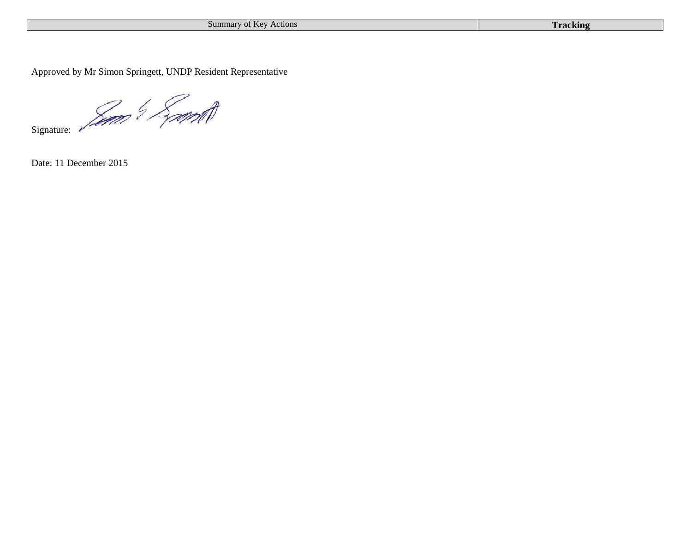| Summary of Key Actions | <b>Tracking</b> |
|------------------------|-----------------|
|------------------------|-----------------|

Approved by Mr Simon Springett, UNDP Resident Representative

Signature: 2000 9 Spont

Date: 11 December 2015